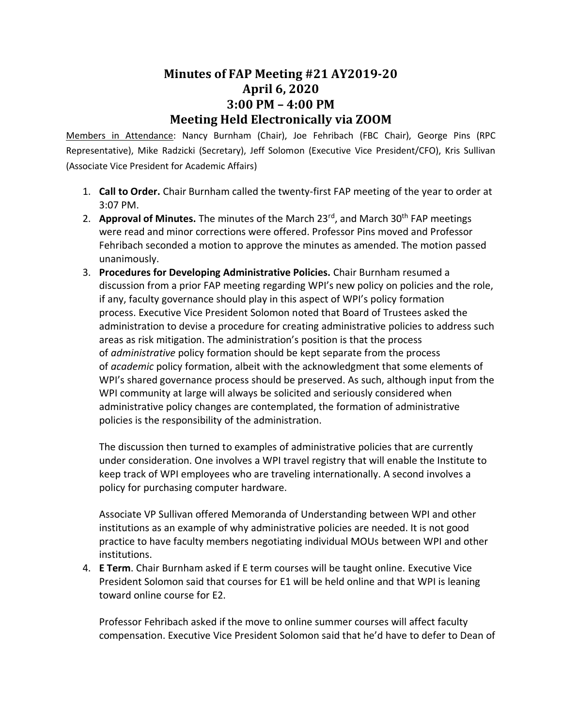## **Minutes of FAP Meeting #21 AY2019-20 April 6, 2020 3:00 PM – 4:00 PM Meeting Held Electronically via ZOOM**

Members in Attendance: Nancy Burnham (Chair), Joe Fehribach (FBC Chair), George Pins (RPC Representative), Mike Radzicki (Secretary), Jeff Solomon (Executive Vice President/CFO), Kris Sullivan (Associate Vice President for Academic Affairs)

- 1. **Call to Order.** Chair Burnham called the twenty-first FAP meeting of the year to order at 3:07 PM.
- 2. **Approval of Minutes.** The minutes of the March 23<sup>rd</sup>, and March 30<sup>th</sup> FAP meetings were read and minor corrections were offered. Professor Pins moved and Professor Fehribach seconded a motion to approve the minutes as amended. The motion passed unanimously.
- 3. **Procedures for Developing Administrative Policies.** Chair Burnham resumed a discussion from a prior FAP meeting regarding WPI's new policy on policies and the role, if any, faculty governance should play in this aspect of WPI's policy formation process. Executive Vice President Solomon noted that Board of Trustees asked the administration to devise a procedure for creating administrative policies to address such areas as risk mitigation. The administration's position is that the process of *administrative* policy formation should be kept separate from the process of *academic* policy formation, albeit with the acknowledgment that some elements of WPI's shared governance process should be preserved. As such, although input from the WPI community at large will always be solicited and seriously considered when administrative policy changes are contemplated, the formation of administrative policies is the responsibility of the administration.

The discussion then turned to examples of administrative policies that are currently under consideration. One involves a WPI travel registry that will enable the Institute to keep track of WPI employees who are traveling internationally. A second involves a policy for purchasing computer hardware.

Associate VP Sullivan offered Memoranda of Understanding between WPI and other institutions as an example of why administrative policies are needed. It is not good practice to have faculty members negotiating individual MOUs between WPI and other institutions.

4. **E Term**. Chair Burnham asked if E term courses will be taught online. Executive Vice President Solomon said that courses for E1 will be held online and that WPI is leaning toward online course for E2.

Professor Fehribach asked if the move to online summer courses will affect faculty compensation. Executive Vice President Solomon said that he'd have to defer to Dean of